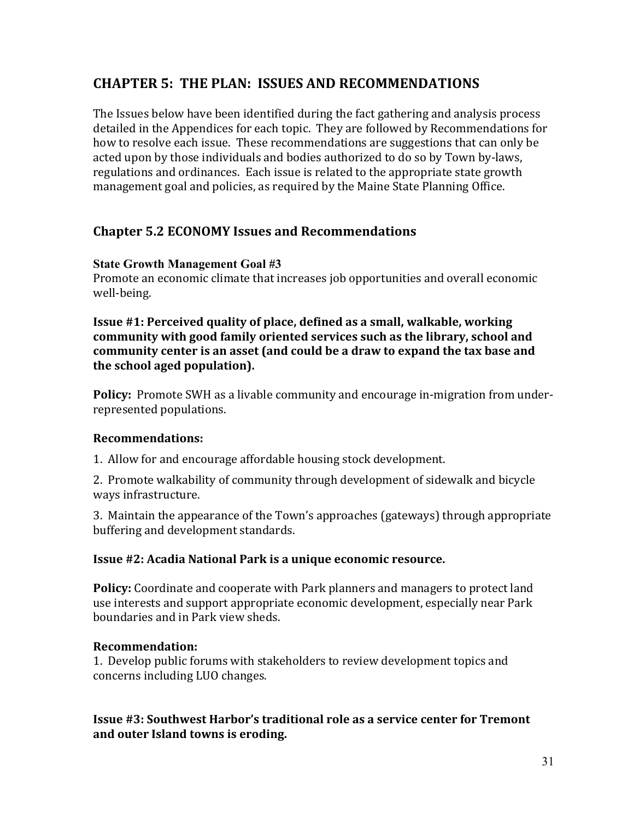# **CHAPTER 5: THE PLAN: ISSUES AND RECOMMENDATIONS**

The Issues below have been identified during the fact gathering and analysis process detailed in the Appendices for each topic. They are followed by Recommendations for how to resolve each issue. These recommendations are suggestions that can only be acted upon by those individuals and bodies authorized to do so by Town by-laws, regulations and ordinances. Each issue is related to the appropriate state growth management goal and policies, as required by the Maine State Planning Office.

## **Chapter 5.2 ECONOMY Issues and Recommendations**

#### **State Growth Management Goal #3**

Promote an economic climate that increases job opportunities and overall economic well-being.

**Issue #1: Perceived quality of place, defined as a small, walkable, working** community with good family oriented services such as the library, school and community center is an asset (and could be a draw to expand the tax base and the school aged population).

**Policy:** Promote SWH as a livable community and encourage in-migration from underrepresented populations.

## **Recommendations:**

1. Allow for and encourage affordable housing stock development.

2. Promote walkability of community through development of sidewalk and bicycle ways infrastructure.

3. Maintain the appearance of the Town's approaches (gateways) through appropriate buffering and development standards.

#### **Issue #2: Acadia National Park is a unique economic resource.**

**Policy:** Coordinate and cooperate with Park planners and managers to protect land use interests and support appropriate economic development, especially near Park boundaries and in Park view sheds.

## **Recommendation:**

1. Develop public forums with stakeholders to review development topics and concerns including LUO changes.

#### **Issue #3: Southwest Harbor's traditional role as a service center for Tremont** and outer Island towns is eroding.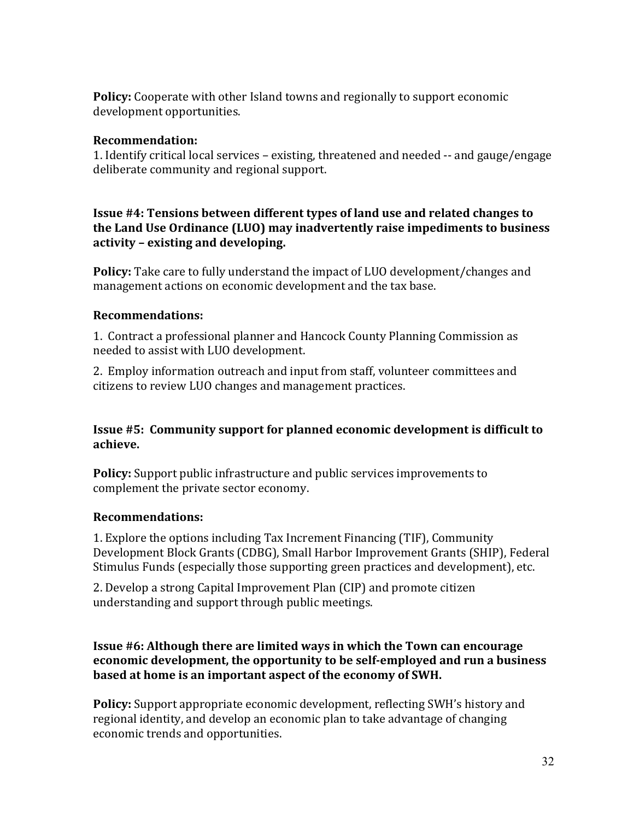**Policy:** Cooperate with other Island towns and regionally to support economic development opportunities.

#### **Recommendation:**

1. Identify critical local services – existing, threatened and needed -- and gauge/engage deliberate community and regional support.

#### **Issue #4: Tensions between different types of land use and related changes to** the Land Use Ordinance (LUO) may inadvertently raise impediments to business activity - existing and developing.

**Policy:** Take care to fully understand the impact of LUO development/changes and management actions on economic development and the tax base.

#### **Recommendations:**

1. Contract a professional planner and Hancock County Planning Commission as needed to assist with LUO development.

2. Employ information outreach and input from staff, volunteer committees and citizens to review LUO changes and management practices.

#### **Issue #5: Community support for planned economic development is difficult to achieve.**

**Policy:** Support public infrastructure and public services improvements to complement the private sector economy.

#### **Recommendations:**

1. Explore the options including Tax Increment Financing (TIF), Community Development Block Grants (CDBG), Small Harbor Improvement Grants (SHIP), Federal Stimulus Funds (especially those supporting green practices and development), etc.

2. Develop a strong Capital Improvement Plan (CIP) and promote citizen understanding and support through public meetings.

#### **Issue #6: Although there are limited ways in which the Town can encourage economic development, the opportunity to be self-employed and run a business** based at home is an important aspect of the economy of SWH.

**Policy:** Support appropriate economic development, reflecting SWH's history and regional identity, and develop an economic plan to take advantage of changing economic trends and opportunities.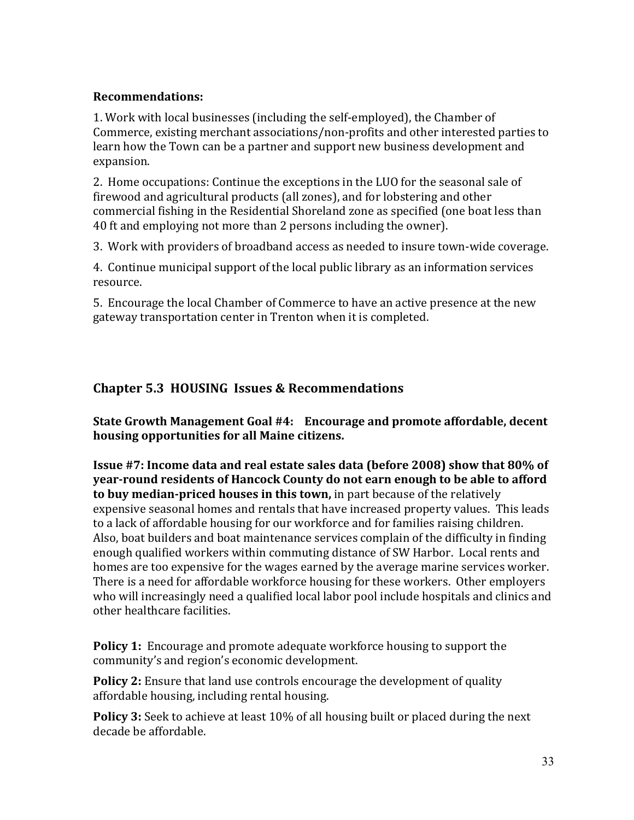#### **Recommendations:**

1. Work with local businesses (including the self-employed), the Chamber of Commerce, existing merchant associations/non-profits and other interested parties to learn how the Town can be a partner and support new business development and expansion.

2. Home occupations: Continue the exceptions in the LUO for the seasonal sale of firewood and agricultural products (all zones), and for lobstering and other commercial fishing in the Residential Shoreland zone as specified (one boat less than 40 ft and employing not more than 2 persons including the owner).

3. Work with providers of broadband access as needed to insure town-wide coverage.

4. Continue municipal support of the local public library as an information services resource.

5. Encourage the local Chamber of Commerce to have an active presence at the new gateway transportation center in Trenton when it is completed.

# **Chapter 5.3 HOUSING Issues & Recommendations**

State Growth Management Goal #4: Encourage and promote affordable, decent **housing opportunities for all Maine citizens.** 

**Issue #7: Income data and real estate sales data (before 2008) show that 80% of year-round residents of Hancock County do not earn enough to be able to afford to buy median-priced houses in this town,** in part because of the relatively expensive seasonal homes and rentals that have increased property values. This leads to a lack of affordable housing for our workforce and for families raising children. Also, boat builders and boat maintenance services complain of the difficulty in finding enough qualified workers within commuting distance of SW Harbor. Local rents and homes are too expensive for the wages earned by the average marine services worker. There is a need for affordable workforce housing for these workers. Other employers who will increasingly need a qualified local labor pool include hospitals and clinics and other healthcare facilities.

**Policy 1:** Encourage and promote adequate workforce housing to support the community's and region's economic development.

**Policy 2:** Ensure that land use controls encourage the development of quality affordable housing, including rental housing.

**Policy 3:** Seek to achieve at least 10% of all housing built or placed during the next decade be affordable.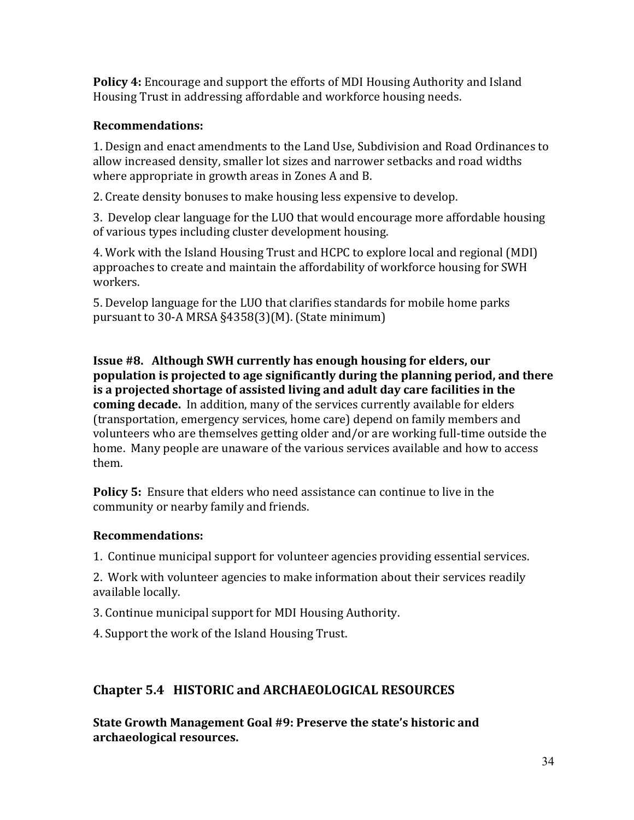**Policy 4:** Encourage and support the efforts of MDI Housing Authority and Island Housing Trust in addressing affordable and workforce housing needs.

## **Recommendations:**

1. Design and enact amendments to the Land Use, Subdivision and Road Ordinances to allow increased density, smaller lot sizes and narrower setbacks and road widths where appropriate in growth areas in Zones A and B.

2. Create density bonuses to make housing less expensive to develop.

3. Develop clear language for the LUO that would encourage more affordable housing of various types including cluster development housing.

4. Work with the Island Housing Trust and HCPC to explore local and regional (MDI) approaches to create and maintain the affordability of workforce housing for SWH workers.

5. Develop language for the LUO that clarifies standards for mobile home parks pursuant to 30-A MRSA  $§4358(3)(M)$ . (State minimum)

**Issue #8. Although SWH currently has enough housing for elders, our** population is projected to age significantly during the planning period, and there is a projected shortage of assisted living and adult day care facilities in the **coming decade.** In addition, many of the services currently available for elders (transportation, emergency services, home care) depend on family members and volunteers who are themselves getting older and/or are working full-time outside the home. Many people are unaware of the various services available and how to access them.

**Policy 5:** Ensure that elders who need assistance can continue to live in the community or nearby family and friends.

## **Recommendations:**

1. Continue municipal support for volunteer agencies providing essential services.

2. Work with volunteer agencies to make information about their services readily available locally.

3. Continue municipal support for MDI Housing Authority.

4. Support the work of the Island Housing Trust.

## Chapter 5.4 HISTORIC and ARCHAEOLOGICAL RESOURCES

**State Growth Management Goal #9: Preserve the state's historic and archaeological(resources.**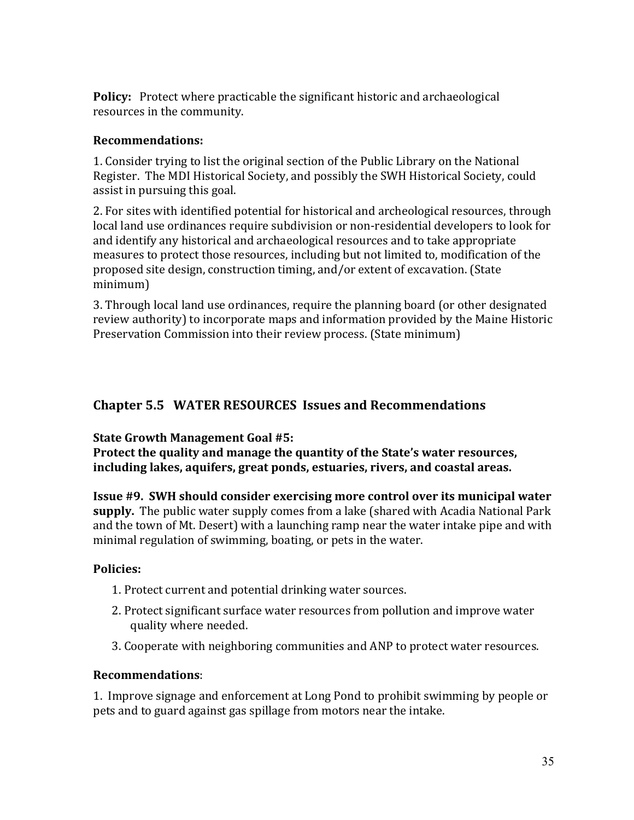**Policy:** Protect where practicable the significant historic and archaeological resources in the community.

#### **Recommendations:**!!

1. Consider trying to list the original section of the Public Library on the National Register. The MDI Historical Society, and possibly the SWH Historical Society, could assist in pursuing this goal.

2. For sites with identified potential for historical and archeological resources, through local land use ordinances require subdivision or non-residential developers to look for and identify any historical and archaeological resources and to take appropriate measures to protect those resources, including but not limited to, modification of the proposed site design, construction timing, and/or extent of excavation. (State minimum)

3. Through local land use ordinances, require the planning board (or other designated review authority) to incorporate maps and information provided by the Maine Historic Preservation Commission into their review process. (State minimum)

# **Chapter 5.5 WATER RESOURCES Issues and Recommendations**

**State Growth Management Goal #5:** 

Protect the quality and manage the quantity of the State's water resources, including lakes, aquifers, great ponds, estuaries, rivers, and coastal areas.

**Issue #9. SWH should consider exercising more control over its municipal water supply.** The public water supply comes from a lake (shared with Acadia National Park and the town of Mt. Desert) with a launching ramp near the water intake pipe and with minimal regulation of swimming, boating, or pets in the water.

## **Policies:**

- 1. Protect current and potential drinking water sources.
- 2. Protect significant surface water resources from pollution and improve water quality where needed.
- 3. Cooperate with neighboring communities and ANP to protect water resources.

## **Recommendations**:!!

1. Improve signage and enforcement at Long Pond to prohibit swimming by people or pets and to guard against gas spillage from motors near the intake.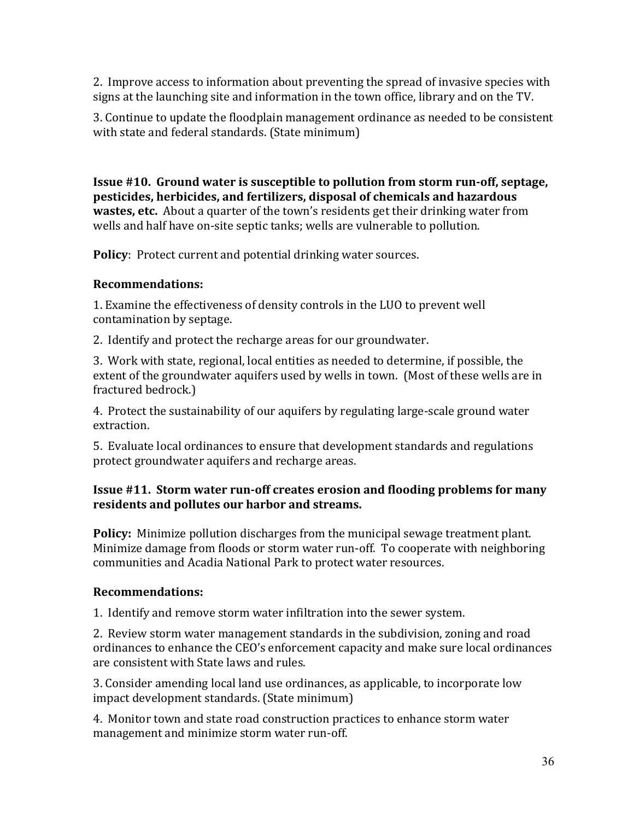2. Improve access to information about preventing the spread of invasive species with signs at the launching site and information in the town office, library and on the TV.

3. Continue to update the floodplain management ordinance as needed to be consistent with state and federal standards. (State minimum)

**Issue #10. Ground water is susceptible to pollution from storm run-off, septage, pesticides, herbicides, and fertilizers, disposal of chemicals and hazardous wastes, etc.** About a quarter of the town's residents get their drinking water from wells and half have on-site septic tanks; wells are vulnerable to pollution.

**Policy**: Protect current and potential drinking water sources.

## **Recommendations:**

1. Examine the effectiveness of density controls in the LUO to prevent well contamination by septage.

2. Identify and protect the recharge areas for our groundwater.

3. Work with state, regional, local entities as needed to determine, if possible, the extent of the groundwater aquifers used by wells in town. (Most of these wells are in fractured bedrock.)

4. Protect the sustainability of our aquifers by regulating large-scale ground water extraction.

5. Evaluate local ordinances to ensure that development standards and regulations protect groundwater aquifers and recharge areas.

## **Issue #11. Storm water run-off creates erosion and flooding problems for many** residents and pollutes our harbor and streams.

**Policy:** Minimize pollution discharges from the municipal sewage treatment plant. Minimize damage from floods or storm water run-off. To cooperate with neighboring communities and Acadia National Park to protect water resources.

## **Recommendations:(**

1. Identify and remove storm water infiltration into the sewer system.

2. Review storm water management standards in the subdivision, zoning and road ordinances to enhance the CEO's enforcement capacity and make sure local ordinances are consistent with State laws and rules.

3. Consider amending local land use ordinances, as applicable, to incorporate low impact development standards. (State minimum)

4. Monitor town and state road construction practices to enhance storm water management and minimize storm water run-off.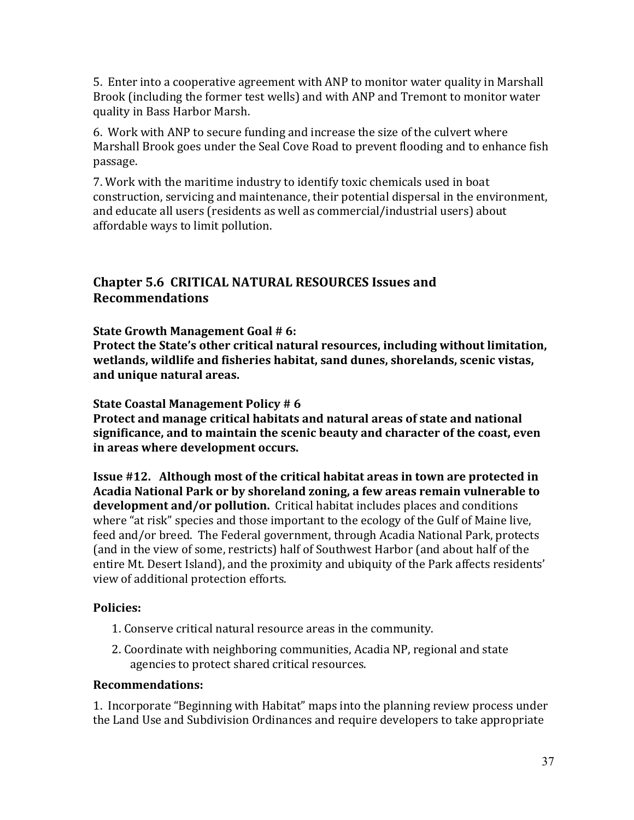5. Enter into a cooperative agreement with ANP to monitor water quality in Marshall Brook (including the former test wells) and with ANP and Tremont to monitor water quality in Bass Harbor Marsh.

6. Work with ANP to secure funding and increase the size of the culvert where Marshall Brook goes under the Seal Cove Road to prevent flooding and to enhance fish passage.

7. Work with the maritime industry to identify toxic chemicals used in boat construction, servicing and maintenance, their potential dispersal in the environment, and educate all users (residents as well as commercial/industrial users) about affordable ways to limit pollution.

## **Chapter 5.6 CRITICAL NATURAL RESOURCES Issues and Recommendations**

**State Growth Management Goal # 6:** 

Protect the State's other critical natural resources, including without limitation, wetlands, wildlife and fisheries habitat, sand dunes, shorelands, scenic vistas, and unique natural areas.

**State Coastal Management Policy #6** 

**Protect and manage critical habitats and natural areas of state and national** significance, and to maintain the scenic beauty and character of the coast, even in areas where development occurs.

**Issue #12.** Although most of the critical habitat areas in town are protected in Acadia National Park or by shoreland zoning, a few areas remain vulnerable to **development and/or pollution.** Critical habitat includes places and conditions where "at risk" species and those important to the ecology of the Gulf of Maine live, feed and/or breed. The Federal government, through Acadia National Park, protects (and in the view of some, restricts) half of Southwest Harbor (and about half of the entire Mt. Desert Island), and the proximity and ubiquity of the Park affects residents' view of additional protection efforts.

## **Policies:**

- 1. Conserve critical natural resource areas in the community.
- 2. Coordinate with neighboring communities, Acadia NP, regional and state agencies to protect shared critical resources.

#### **Recommendations:**

1. Incorporate "Beginning with Habitat" maps into the planning review process under the Land Use and Subdivision Ordinances and require developers to take appropriate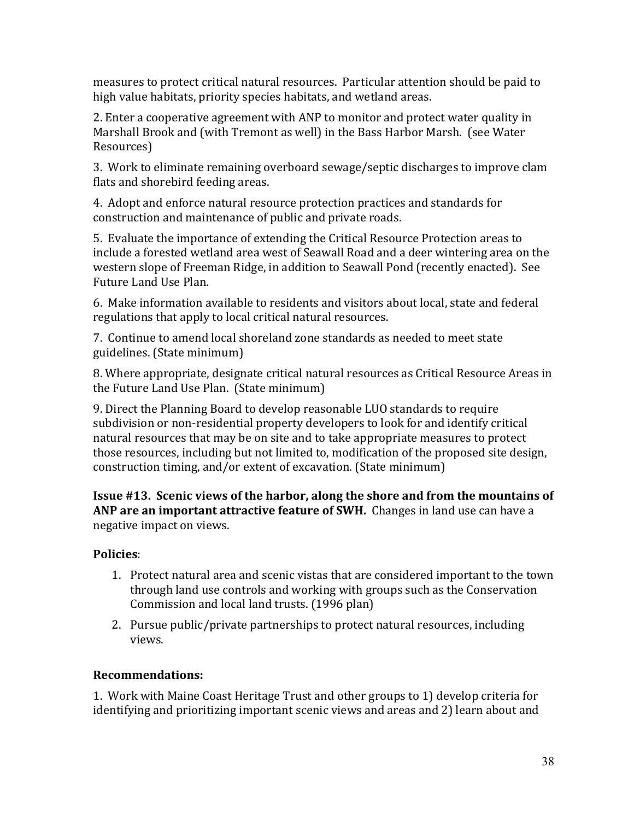measures to protect critical natural resources. Particular attention should be paid to high value habitats, priority species habitats, and wetland areas.

2. Enter a cooperative agreement with ANP to monitor and protect water quality in Marshall Brook and (with Tremont as well) in the Bass Harbor Marsh. (see Water Resources)

3. Work to eliminate remaining overboard sewage/septic discharges to improve clam flats and shorebird feeding areas.

4. Adopt and enforce natural resource protection practices and standards for construction and maintenance of public and private roads.

5. Evaluate the importance of extending the Critical Resource Protection areas to include a forested wetland area west of Seawall Road and a deer wintering area on the western slope of Freeman Ridge, in addition to Seawall Pond (recently enacted). See Future Land Use Plan.

6. Make information available to residents and visitors about local, state and federal regulations that apply to local critical natural resources.

7. Continue to amend local shoreland zone standards as needed to meet state guidelines. (State minimum)

8. Where appropriate, designate critical natural resources as Critical Resource Areas in the Future Land Use Plan. (State minimum)

9. Direct the Planning Board to develop reasonable LUO standards to require subdivision or non-residential property developers to look for and identify critical natural resources that may be on site and to take appropriate measures to protect those resources, including but not limited to, modification of the proposed site design, construction timing, and/or extent of excavation. (State minimum)

**Issue #13. Scenic views of the harbor, along the shore and from the mountains of ANP are an important attractive feature of SWH.** Changes in land use can have a negative impact on views.

## **Policies:**

- 1. Protect natural area and scenic vistas that are considered important to the town through land use controls and working with groups such as the Conservation Commission and local land trusts. (1996 plan)
- 2. Pursue public/private partnerships to protect natural resources, including views.

## **Recommendations:**

1. Work with Maine Coast Heritage Trust and other groups to 1) develop criteria for identifying and prioritizing important scenic views and areas and 2) learn about and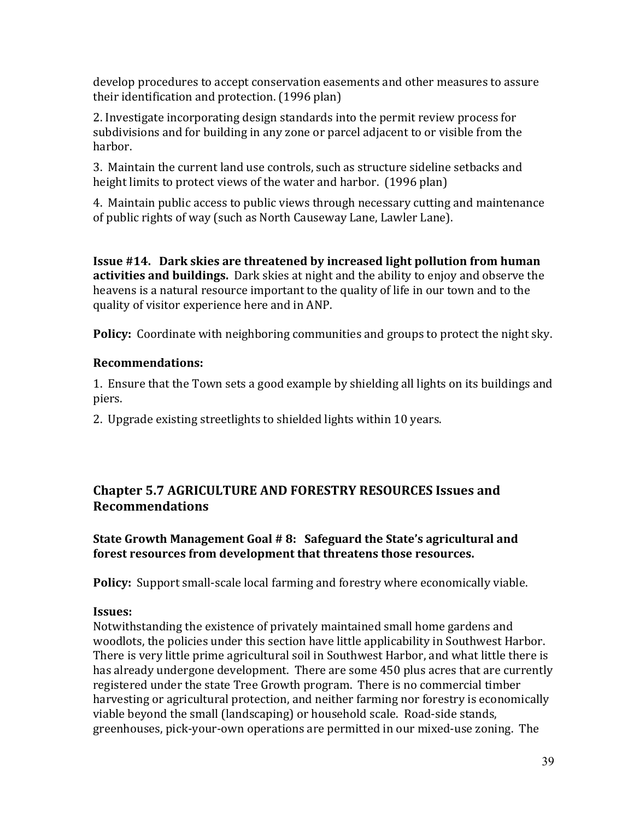develop procedures to accept conservation easements and other measures to assure their identification and protection. (1996 plan)

2. Investigate incorporating design standards into the permit review process for subdivisions and for building in any zone or parcel adjacent to or visible from the harbor.

3. Maintain the current land use controls, such as structure sideline setbacks and height limits to protect views of the water and harbor. (1996 plan)

4. Maintain public access to public views through necessary cutting and maintenance of public rights of way (such as North Causeway Lane, Lawler Lane).

**Issue #14. Dark skies are threatened by increased light pollution from human activities and buildings.** Dark skies at night and the ability to enjoy and observe the heavens is a natural resource important to the quality of life in our town and to the quality of visitor experience here and in ANP.

**Policy:** Coordinate with neighboring communities and groups to protect the night sky.

## **Recommendations:**

1. Ensure that the Town sets a good example by shielding all lights on its buildings and piers.

2. Upgrade existing streetlights to shielded lights within 10 years.

# **Chapter 5.7 AGRICULTURE AND FORESTRY RESOURCES Issues and Recommendations**

## **State Growth Management Goal # 8: Safeguard the State's agricultural and** forest resources from development that threatens those resources.

**Policy:** Support small-scale local farming and forestry where economically viable.

## **Issues:(**

Notwithstanding the existence of privately maintained small home gardens and woodlots, the policies under this section have little applicability in Southwest Harbor. There is very little prime agricultural soil in Southwest Harbor, and what little there is has already undergone development. There are some 450 plus acres that are currently registered under the state Tree Growth program. There is no commercial timber harvesting or agricultural protection, and neither farming nor forestry is economically viable beyond the small (landscaping) or household scale. Road-side stands, greenhouses, pick-your-own operations are permitted in our mixed-use zoning. The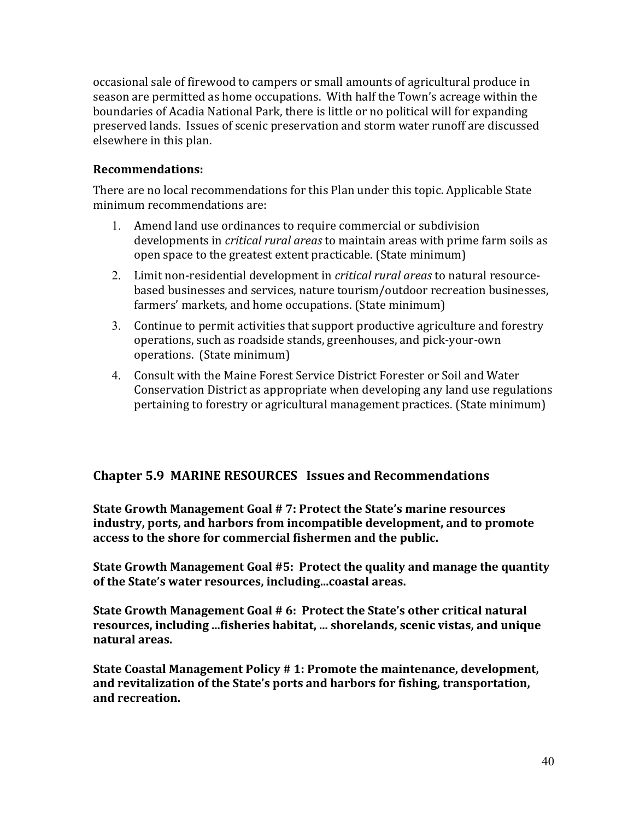occasional sale of firewood to campers or small amounts of agricultural produce in season are permitted as home occupations. With half the Town's acreage within the boundaries of Acadia National Park, there is little or no political will for expanding preserved lands. Issues of scenic preservation and storm water runoff are discussed elsewhere in this plan.

#### **Recommendations:**

There are no local recommendations for this Plan under this topic. Applicable State minimum recommendations are:

- 1. Amend land use ordinances to require commercial or subdivision developments in *critical rural areas* to maintain areas with prime farm soils as open space to the greatest extent practicable. (State minimum)
- 2. Limit non-residential development in *critical rural areas* to natural resourcebased businesses and services, nature tourism/outdoor recreation businesses, farmers' markets, and home occupations. (State minimum)
- 3. Continue to permit activities that support productive agriculture and forestry operations, such as roadside stands, greenhouses, and pick-your-own operations. (State minimum)
- 4. Consult with the Maine Forest Service District Forester or Soil and Water Conservation District as appropriate when developing any land use regulations pertaining to forestry or agricultural management practices. (State minimum)

## **Chapter 5.9 MARINE RESOURCES Issues and Recommendations**

**State Growth Management Goal # 7: Protect the State's marine resources** industry, ports, and harbors from incompatible development, and to promote access to the shore for commercial fishermen and the public.

**State Growth Management Goal #5: Protect the quality and manage the quantity** of the State's water resources, including...coastal areas.

**State Growth Management Goal #6: Protect the State's other critical natural** resources, including ...fisheries habitat, ... shorelands, scenic vistas, and unique natural areas.

**State Coastal Management Policy # 1: Promote the maintenance, development,** and revitalization of the State's ports and harbors for fishing, transportation, and recreation.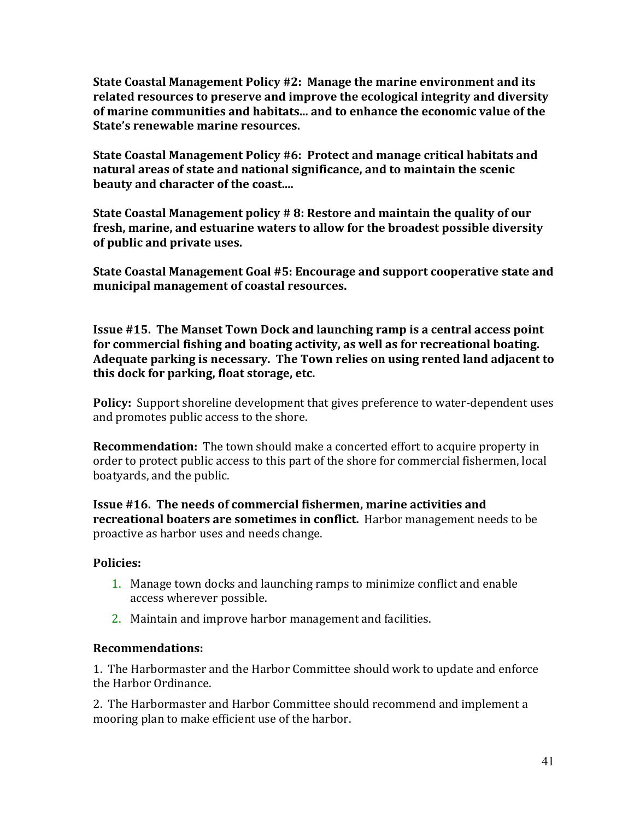**State Coastal Management Policy #2: Manage the marine environment and its** related resources to preserve and improve the ecological integrity and diversity of marine communities and habitats... and to enhance the economic value of the **State's renewable marine resources.** 

**State Coastal Management Policy #6: Protect and manage critical habitats and natural areas of state and national significance, and to maintain the scenic beauty and character of the coast....** 

**State Coastal Management policy # 8: Restore and maintain the quality of our** fresh, marine, and estuarine waters to allow for the broadest possible diversity **of public and private uses.** 

State Coastal Management Goal #5: Encourage and support cooperative state and municipal management of coastal resources.

**Issue #15. The Manset Town Dock and launching ramp is a central access point** for commercial fishing and boating activity, as well as for recreational boating. Adequate parking is necessary. The Town relies on using rented land adjacent to this dock for parking, float storage, etc.

**Policy:** Support shoreline development that gives preference to water-dependent uses and promotes public access to the shore.

**Recommendation:** The town should make a concerted effort to acquire property in order to protect public access to this part of the shore for commercial fishermen, local boatyards, and the public.

**Issue #16. The needs of commercial fishermen, marine activities and recreational boaters are sometimes in conflict.** Harbor management needs to be proactive as harbor uses and needs change.

## Policies:

- 1. Manage town docks and launching ramps to minimize conflict and enable access wherever possible.
- 2. Maintain and improve harbor management and facilities.

## **Recommendations:**!!

1. The Harbormaster and the Harbor Committee should work to update and enforce the Harbor Ordinance.

2. The Harbormaster and Harbor Committee should recommend and implement a mooring plan to make efficient use of the harbor.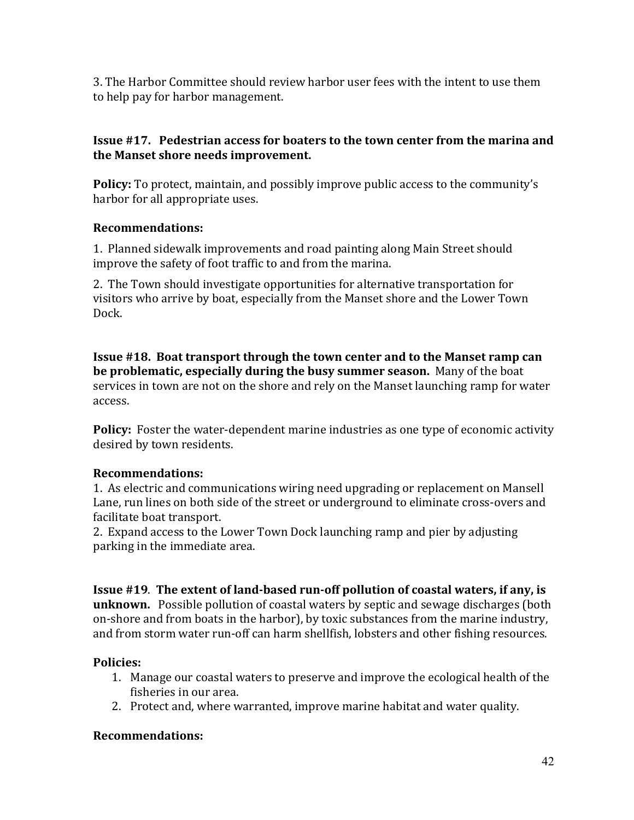3. The Harbor Committee should review harbor user fees with the intent to use them to help pay for harbor management.

#### **Issue #17. Pedestrian access for boaters to the town center from the marina and** the Manset shore needs improvement.

**Policy:** To protect, maintain, and possibly improve public access to the community's harbor for all appropriate uses.

#### **Recommendations:**

1. Planned sidewalk improvements and road painting along Main Street should improve the safety of foot traffic to and from the marina.

2. The Town should investigate opportunities for alternative transportation for visitors who arrive by boat, especially from the Manset shore and the Lower Town Dock.

**Issue #18. Boat transport through the town center and to the Manset ramp can be problematic, especially during the busy summer season.** Many of the boat services in town are not on the shore and rely on the Manset launching ramp for water access.

**Policy:** Foster the water-dependent marine industries as one type of economic activity desired by town residents.

## **Recommendations:**

1. As electric and communications wiring need upgrading or replacement on Mansell Lane, run lines on both side of the street or underground to eliminate cross-overs and facilitate boat transport.

2. Expand access to the Lower Town Dock launching ramp and pier by adjusting parking in the immediate area.

**Issue #19. The extent of land-based run-off pollution of coastal waters, if any, is unknown.** Possible pollution of coastal waters by septic and sewage discharges (both on-shore and from boats in the harbor), by toxic substances from the marine industry, and from storm water run-off can harm shellfish, lobsters and other fishing resources.

## Policies:

- 1. Manage our coastal waters to preserve and improve the ecological health of the fisheries in our area.
- 2. Protect and, where warranted, improve marine habitat and water quality.

## **Recommendations:**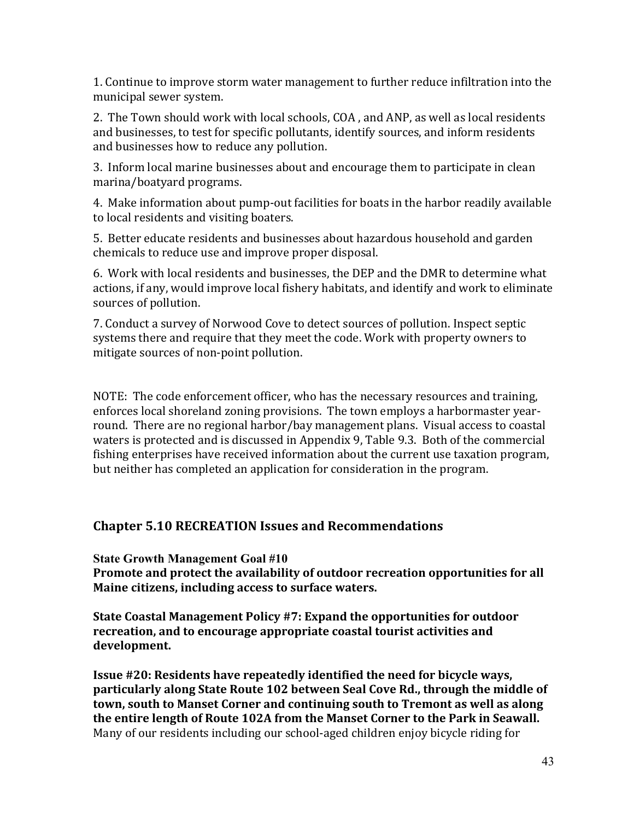1. Continue to improve storm water management to further reduce infiltration into the municipal sewer system.

2. The Town should work with local schools, COA, and ANP, as well as local residents and businesses, to test for specific pollutants, identify sources, and inform residents and businesses how to reduce any pollution.

3. Inform local marine businesses about and encourage them to participate in clean marina/boatyard programs.

4. Make information about pump-out facilities for boats in the harbor readily available to local residents and visiting boaters.

5. Better educate residents and businesses about hazardous household and garden chemicals to reduce use and improve proper disposal.

6. Work with local residents and businesses, the DEP and the DMR to determine what actions, if any, would improve local fishery habitats, and identify and work to eliminate sources of pollution.

7. Conduct a survey of Norwood Cove to detect sources of pollution. Inspect septic systems there and require that they meet the code. Work with property owners to mitigate sources of non-point pollution.

NOTE: The code enforcement officer, who has the necessary resources and training, enforces local shoreland zoning provisions. The town employs a harbormaster yearround. There are no regional harbor/bay management plans. Visual access to coastal waters is protected and is discussed in Appendix 9, Table 9.3. Both of the commercial fishing enterprises have received information about the current use taxation program, but neither has completed an application for consideration in the program.

## **Chapter 5.10 RECREATION Issues and Recommendations**

**State Growth Management Goal #10**

**Promote and protect the availability of outdoor recreation opportunities for all Maine citizens, including access to surface waters.** 

**State Coastal Management Policy #7: Expand the opportunities for outdoor recreation, and to encourage appropriate coastal tourist activities and development.**

**Issue #20: Residents have repeatedly identified the need for bicycle ways,** particularly along State Route 102 between Seal Cove Rd., through the middle of town, south to Manset Corner and continuing south to Tremont as well as along the entire length of Route 102A from the Manset Corner to the Park in Seawall. Many of our residents including our school-aged children enjoy bicycle riding for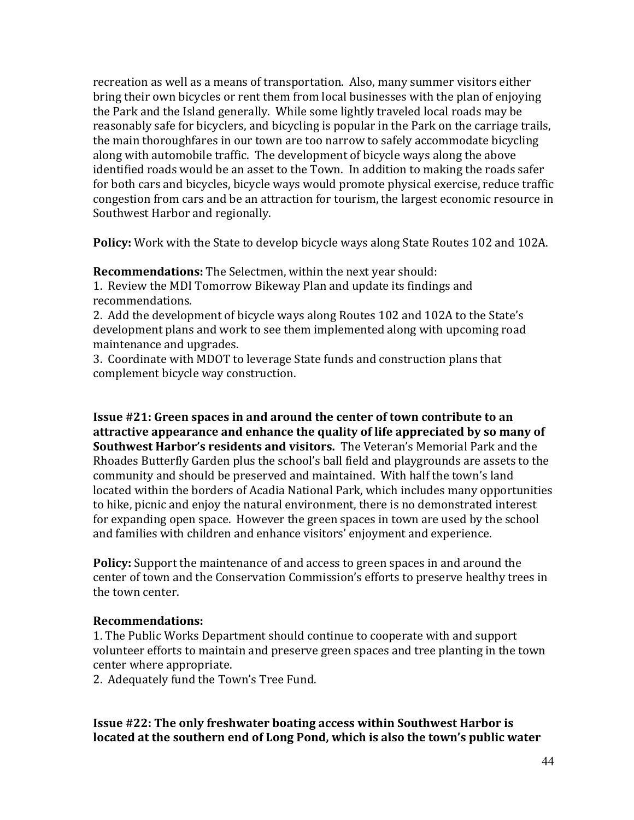recreation as well as a means of transportation. Also, many summer visitors either bring their own bicycles or rent them from local businesses with the plan of enjoying the Park and the Island generally. While some lightly traveled local roads may be reasonably safe for bicyclers, and bicycling is popular in the Park on the carriage trails, the main thoroughfares in our town are too narrow to safely accommodate bicycling along with automobile traffic. The development of bicycle ways along the above identified roads would be an asset to the Town. In addition to making the roads safer for both cars and bicycles, bicycle ways would promote physical exercise, reduce traffic congestion from cars and be an attraction for tourism, the largest economic resource in Southwest Harbor and regionally.

**Policy:** Work with the State to develop bicycle ways along State Routes 102 and 102A.

**Recommendations:** The Selectmen, within the next year should:

1. Review the MDI Tomorrow Bikeway Plan and update its findings and recommendations.

2. Add the development of bicycle ways along Routes 102 and 102A to the State's development plans and work to see them implemented along with upcoming road maintenance and upgrades.

3. Coordinate with MDOT to leverage State funds and construction plans that complement bicycle way construction.

**Issue #21: Green spaces in and around the center of town contribute to an** attractive appearance and enhance the quality of life appreciated by so many of **Southwest Harbor's residents and visitors.** The Veteran's Memorial Park and the Rhoades Butterfly Garden plus the school's ball field and playgrounds are assets to the community and should be preserved and maintained. With half the town's land located within the borders of Acadia National Park, which includes many opportunities to hike, picnic and enjoy the natural environment, there is no demonstrated interest for expanding open space. However the green spaces in town are used by the school and families with children and enhance visitors' enjoyment and experience.

**Policy:** Support the maintenance of and access to green spaces in and around the center of town and the Conservation Commission's efforts to preserve healthy trees in the town center.

## **Recommendations:**

1. The Public Works Department should continue to cooperate with and support volunteer efforts to maintain and preserve green spaces and tree planting in the town center where appropriate.

2. Adequately fund the Town's Tree Fund.

**Issue #22: The only freshwater boating access within Southwest Harbor is** located at the southern end of Long Pond, which is also the town's public water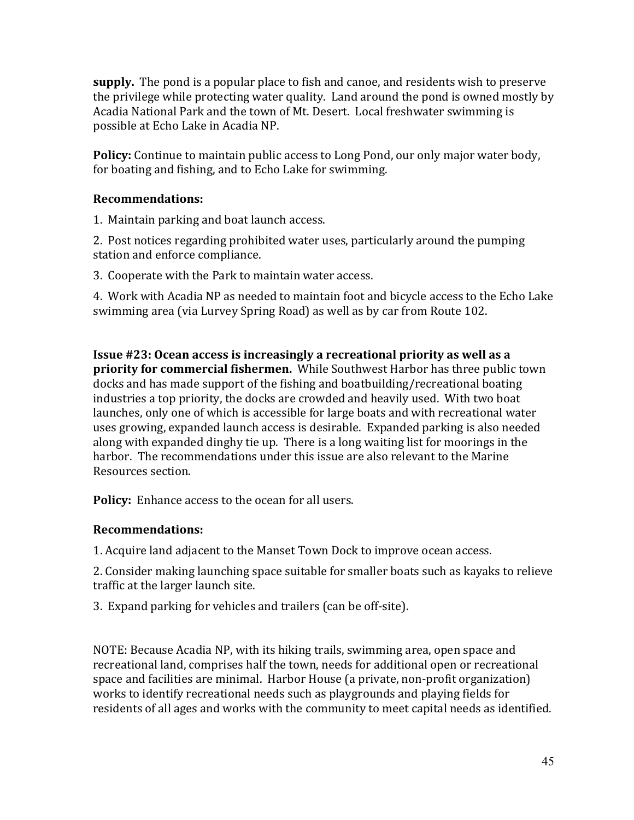**supply.** The pond is a popular place to fish and canoe, and residents wish to preserve the privilege while protecting water quality. Land around the pond is owned mostly by Acadia National Park and the town of Mt. Desert. Local freshwater swimming is possible at Echo Lake in Acadia NP.

**Policy:** Continue to maintain public access to Long Pond, our only major water body, for boating and fishing, and to Echo Lake for swimming.

#### **Recommendations:**

1. Maintain parking and boat launch access.

2. Post notices regarding prohibited water uses, particularly around the pumping station and enforce compliance.

3. Cooperate with the Park to maintain water access.

4. Work with Acadia NP as needed to maintain foot and bicycle access to the Echo Lake swimming area (via Lurvey Spring Road) as well as by car from Route 102.

**Issue #23: Ocean access is increasingly a recreational priority as well as a priority for commercial fishermen.** While Southwest Harbor has three public town docks and has made support of the fishing and boatbuilding/recreational boating industries a top priority, the docks are crowded and heavily used. With two boat launches, only one of which is accessible for large boats and with recreational water uses growing, expanded launch access is desirable. Expanded parking is also needed along with expanded dinghy tie up. There is a long waiting list for moorings in the harbor. The recommendations under this issue are also relevant to the Marine Resources section.

**Policy:** Enhance access to the ocean for all users.

## **Recommendations:**

1. Acquire land adjacent to the Manset Town Dock to improve ocean access.

2. Consider making launching space suitable for smaller boats such as kayaks to relieve traffic at the larger launch site.

3. Expand parking for vehicles and trailers (can be off-site).

NOTE: Because Acadia NP, with its hiking trails, swimming area, open space and recreational land, comprises half the town, needs for additional open or recreational space and facilities are minimal. Harbor House (a private, non-profit organization) works to identify recreational needs such as playgrounds and playing fields for residents of all ages and works with the community to meet capital needs as identified.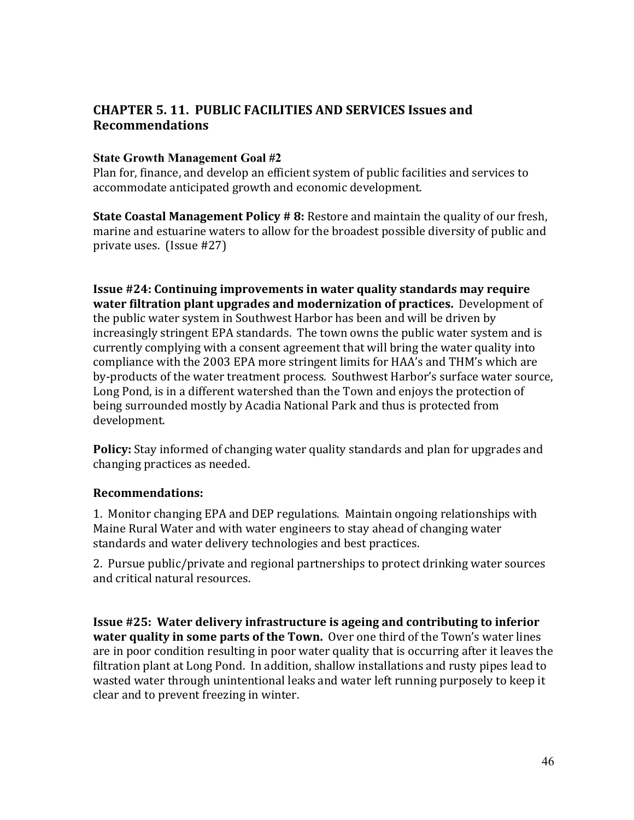## **CHAPTER 5.11. PUBLIC FACILITIES AND SERVICES Issues and Recommendations**

#### **State Growth Management Goal #2**

Plan for, finance, and develop an efficient system of public facilities and services to accommodate anticipated growth and economic development.

**State Coastal Management Policy # 8:** Restore and maintain the quality of our fresh, marine and estuarine waters to allow for the broadest possible diversity of public and private uses. (Issue #27)

**Issue #24: Continuing improvements in water quality standards may require water filtration plant upgrades and modernization of practices.** Development of the public water system in Southwest Harbor has been and will be driven by increasingly stringent EPA standards. The town owns the public water system and is currently complying with a consent agreement that will bring the water quality into compliance with the 2003 EPA more stringent limits for HAA's and THM's which are by-products of the water treatment process. Southwest Harbor's surface water source, Long Pond, is in a different watershed than the Town and enjoys the protection of being surrounded mostly by Acadia National Park and thus is protected from development.

**Policy:** Stay informed of changing water quality standards and plan for upgrades and changing practices as needed.

## **Recommendations:**

1. Monitor changing EPA and DEP regulations. Maintain ongoing relationships with Maine Rural Water and with water engineers to stay ahead of changing water standards and water delivery technologies and best practices.

2. Pursue public/private and regional partnerships to protect drinking water sources and critical natural resources.

**Issue #25: Water delivery infrastructure is ageing and contributing to inferior water quality in some parts of the Town.** Over one third of the Town's water lines are in poor condition resulting in poor water quality that is occurring after it leaves the filtration plant at Long Pond. In addition, shallow installations and rusty pipes lead to wasted water through unintentional leaks and water left running purposely to keep it clear and to prevent freezing in winter.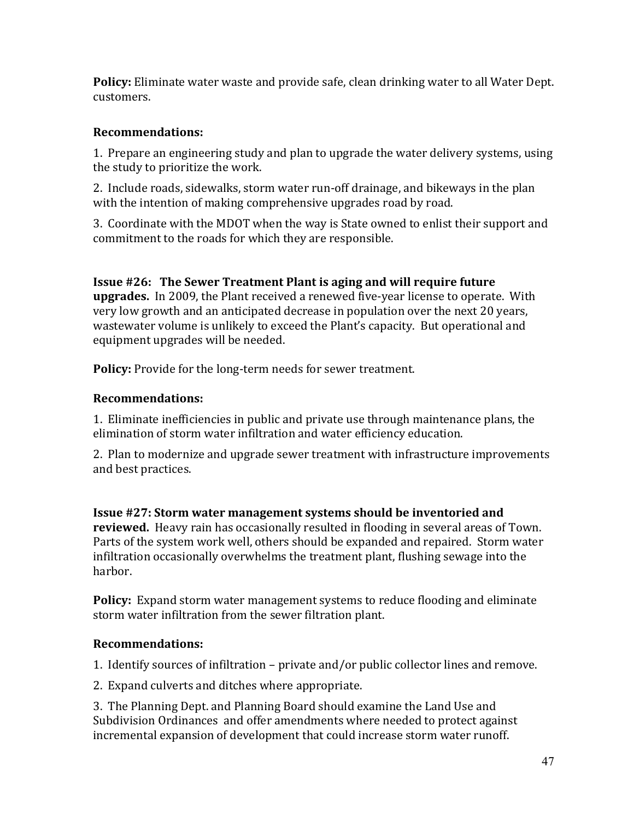**Policy:** Eliminate water waste and provide safe, clean drinking water to all Water Dept. customers.

#### **Recommendations:**

1. Prepare an engineering study and plan to upgrade the water delivery systems. using the study to prioritize the work.

2. Include roads, sidewalks, storm water run-off drainage, and bikeways in the plan with the intention of making comprehensive upgrades road by road.

3. Coordinate with the MDOT when the way is State owned to enlist their support and commitment to the roads for which they are responsible.

**Issue #26: The Sewer Treatment Plant is aging and will require future upgrades.** In 2009, the Plant received a renewed five-year license to operate. With very low growth and an anticipated decrease in population over the next 20 years, wastewater volume is unlikely to exceed the Plant's capacity. But operational and equipment upgrades will be needed.

Policy: Provide for the long-term needs for sewer treatment.

## **Recommendations:**

1. Eliminate inefficiencies in public and private use through maintenance plans, the elimination of storm water infiltration and water efficiency education.

2. Plan to modernize and upgrade sewer treatment with infrastructure improvements and best practices.

**Issue #27: Storm water management systems should be inventoried and reviewed.** Heavy rain has occasionally resulted in flooding in several areas of Town. Parts of the system work well, others should be expanded and repaired. Storm water infiltration occasionally overwhelms the treatment plant, flushing sewage into the harbor.

**Policy:** Expand storm water management systems to reduce flooding and eliminate storm water infiltration from the sewer filtration plant.

## **Recommendations:**

1. Identify sources of infiltration – private and/or public collector lines and remove.

2. Expand culverts and ditches where appropriate.

3. The Planning Dept. and Planning Board should examine the Land Use and Subdivision Ordinances and offer amendments where needed to protect against incremental expansion of development that could increase storm water runoff.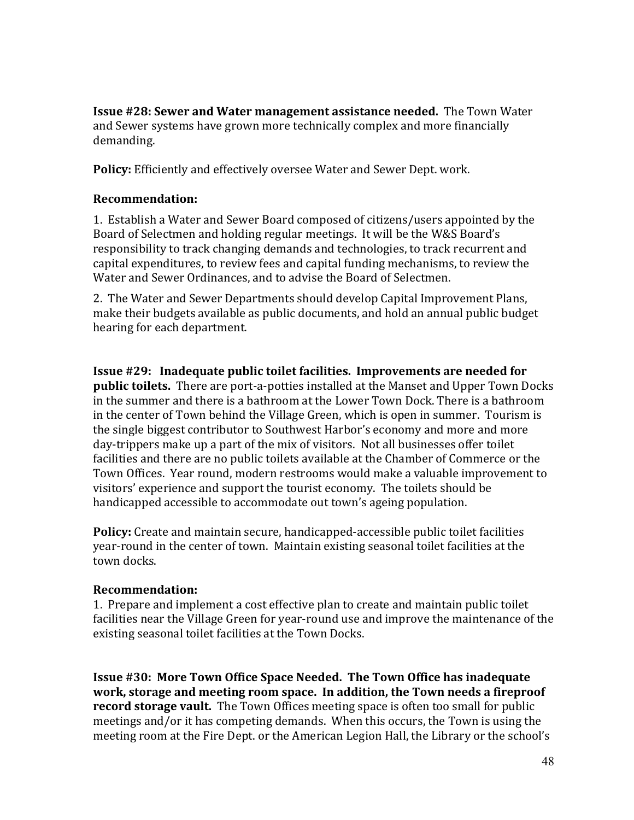**Issue #28: Sewer and Water management assistance needed.** The Town Water and Sewer systems have grown more technically complex and more financially demanding.

Policy: Efficiently and effectively oversee Water and Sewer Dept. work.

#### **Recommendation:(**

1. Establish a Water and Sewer Board composed of citizens/users appointed by the Board of Selectmen and holding regular meetings. It will be the W&S Board's responsibility to track changing demands and technologies, to track recurrent and capital expenditures, to review fees and capital funding mechanisms, to review the Water and Sewer Ordinances, and to advise the Board of Selectmen.

2. The Water and Sewer Departments should develop Capital Improvement Plans, make their budgets available as public documents, and hold an annual public budget hearing for each department.

**Issue #29: Inadequate public toilet facilities. Improvements are needed for public toilets.** There are port-a-potties installed at the Manset and Upper Town Docks in the summer and there is a bathroom at the Lower Town Dock. There is a bathroom in the center of Town behind the Village Green, which is open in summer. Tourism is the single biggest contributor to Southwest Harbor's economy and more and more day-trippers make up a part of the mix of visitors. Not all businesses offer toilet facilities and there are no public toilets available at the Chamber of Commerce or the Town Offices. Year round, modern restrooms would make a valuable improvement to visitors' experience and support the tourist economy. The toilets should be handicapped accessible to accommodate out town's ageing population.

**Policy:** Create and maintain secure, handicapped-accessible public toilet facilities year-round in the center of town. Maintain existing seasonal toilet facilities at the town docks.

#### **Recommendation:**

1. Prepare and implement a cost effective plan to create and maintain public toilet facilities near the Village Green for year-round use and improve the maintenance of the existing seasonal toilet facilities at the Town Docks.

**Issue #30: More Town Office Space Needed. The Town Office has inadequate** work, storage and meeting room space. In addition, the Town needs a fireproof **record storage vault.** The Town Offices meeting space is often too small for public meetings and/or it has competing demands. When this occurs, the Town is using the meeting room at the Fire Dept. or the American Legion Hall, the Library or the school's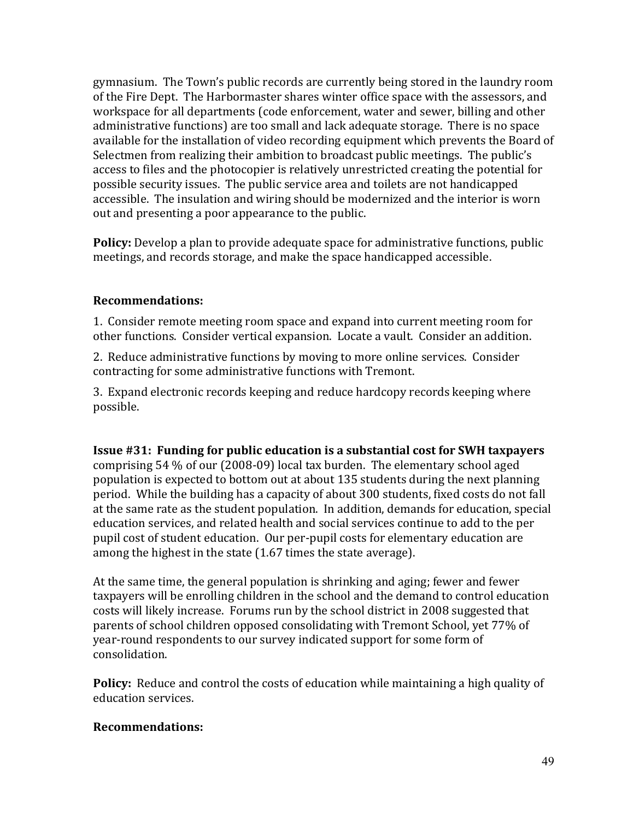gymnasium. The Town's public records are currently being stored in the laundry room of the Fire Dept. The Harbormaster shares winter office space with the assessors, and workspace for all departments (code enforcement, water and sewer, billing and other administrative functions) are too small and lack adequate storage. There is no space available for the installation of video recording equipment which prevents the Board of Selectmen from realizing their ambition to broadcast public meetings. The public's access to files and the photocopier is relatively unrestricted creating the potential for possible security issues. The public service area and toilets are not handicapped accessible. The insulation and wiring should be modernized and the interior is worn out and presenting a poor appearance to the public.

**Policy:** Develop a plan to provide adequate space for administrative functions, public meetings, and records storage, and make the space handicapped accessible.

#### **Recommendations:**

1. Consider remote meeting room space and expand into current meeting room for other functions. Consider vertical expansion. Locate a vault. Consider an addition.

2. Reduce administrative functions by moving to more online services. Consider contracting for some administrative functions with Tremont.

3. Expand electronic records keeping and reduce hardcopy records keeping where possible.

**Issue #31: Funding for public education is a substantial cost for SWH taxpayers** comprising  $54\%$  of our (2008-09) local tax burden. The elementary school aged population is expected to bottom out at about 135 students during the next planning period. While the building has a capacity of about 300 students, fixed costs do not fall at the same rate as the student population. In addition, demands for education, special education services, and related health and social services continue to add to the per pupil cost of student education. Our per-pupil costs for elementary education are among the highest in the state (1.67 times the state average).

At the same time, the general population is shrinking and aging; fewer and fewer taxpayers will be enrolling children in the school and the demand to control education costs will likely increase. Forums run by the school district in 2008 suggested that parents of school children opposed consolidating with Tremont School, yet 77% of year-round respondents to our survey indicated support for some form of consolidation.

**Policy:** Reduce and control the costs of education while maintaining a high quality of education services.

## **Recommendations:**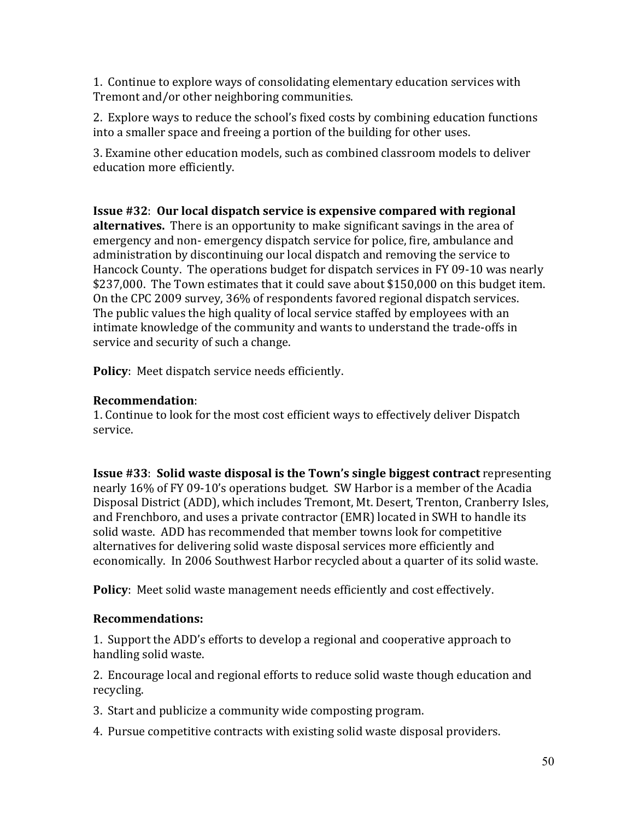1. Continue to explore ways of consolidating elementary education services with Tremont and/or other neighboring communities.

2. Explore ways to reduce the school's fixed costs by combining education functions into a smaller space and freeing a portion of the building for other uses.

3. Examine other education models, such as combined classroom models to deliver education more efficiently.

**Issue #32: Our local dispatch service is expensive compared with regional alternatives.** There is an opportunity to make significant savings in the area of emergency and non- emergency dispatch service for police, fire, ambulance and administration by discontinuing our local dispatch and removing the service to Hancock County. The operations budget for dispatch services in FY 09-10 was nearly \$237,000. The Town estimates that it could save about \$150,000 on this budget item. On the CPC 2009 survey, 36% of respondents favored regional dispatch services. The public values the high quality of local service staffed by employees with an intimate knowledge of the community and wants to understand the trade-offs in service and security of such a change.

**Policy**: Meet dispatch service needs efficiently.

## **Recommendation**:!

1. Continue to look for the most cost efficient ways to effectively deliver Dispatch service.

**Issue #33: Solid waste disposal is the Town's single biggest contract** representing nearly 16% of FY 09-10's operations budget. SW Harbor is a member of the Acadia Disposal District (ADD), which includes Tremont, Mt. Desert, Trenton, Cranberry Isles, and Frenchboro, and uses a private contractor (EMR) located in SWH to handle its solid waste. ADD has recommended that member towns look for competitive alternatives for delivering solid waste disposal services more efficiently and economically. In 2006 Southwest Harbor recycled about a quarter of its solid waste.

**Policy**: Meet solid waste management needs efficiently and cost effectively.

## **Recommendations:((**

1. Support the ADD's efforts to develop a regional and cooperative approach to handling solid waste.

2. Encourage local and regional efforts to reduce solid waste though education and recycling.

- 3. Start and publicize a community wide composting program.
- 4. Pursue competitive contracts with existing solid waste disposal providers.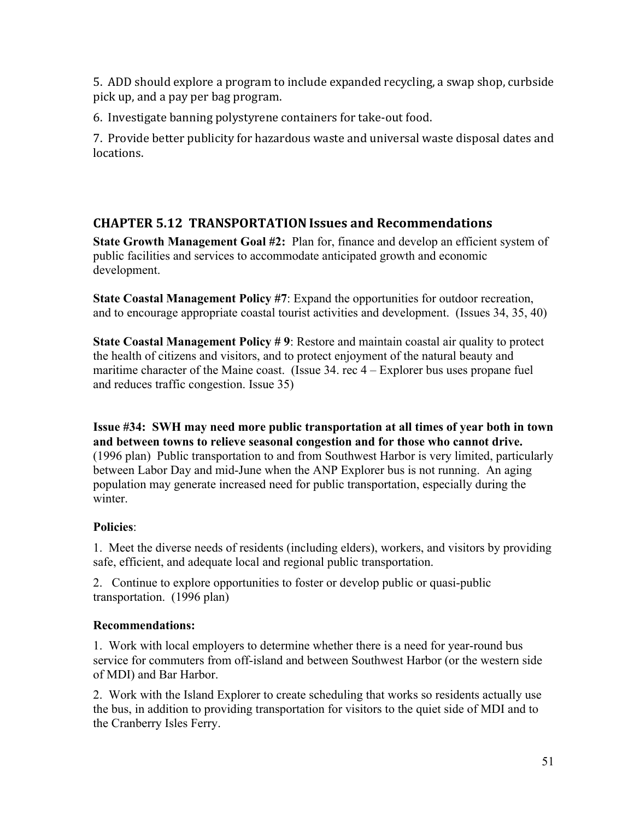5. ADD should explore a program to include expanded recycling, a swap shop, curbside pick up, and a pay per bag program.

6. Investigate banning polystyrene containers for take-out food.

7. Provide better publicity for hazardous waste and universal waste disposal dates and locations.

# **CHAPTER(5.12((TRANSPORTATIONIssues(and(Recommendations**

**State Growth Management Goal #2:** Plan for, finance and develop an efficient system of public facilities and services to accommodate anticipated growth and economic development.

**State Coastal Management Policy #7:** Expand the opportunities for outdoor recreation, and to encourage appropriate coastal tourist activities and development. (Issues 34, 35, 40)

**State Coastal Management Policy # 9**: Restore and maintain coastal air quality to protect the health of citizens and visitors, and to protect enjoyment of the natural beauty and maritime character of the Maine coast. (Issue 34. rec 4 – Explorer bus uses propane fuel and reduces traffic congestion. Issue 35)

**Issue #34: SWH may need more public transportation at all times of year both in town and between towns to relieve seasonal congestion and for those who cannot drive.**  (1996 plan) Public transportation to and from Southwest Harbor is very limited, particularly between Labor Day and mid-June when the ANP Explorer bus is not running. An aging population may generate increased need for public transportation, especially during the winter.

## **Policies**:

1. Meet the diverse needs of residents (including elders), workers, and visitors by providing safe, efficient, and adequate local and regional public transportation.

2. Continue to explore opportunities to foster or develop public or quasi-public transportation. (1996 plan)

## **Recommendations:**

1. Work with local employers to determine whether there is a need for year-round bus service for commuters from off-island and between Southwest Harbor (or the western side of MDI) and Bar Harbor.

2. Work with the Island Explorer to create scheduling that works so residents actually use the bus, in addition to providing transportation for visitors to the quiet side of MDI and to the Cranberry Isles Ferry.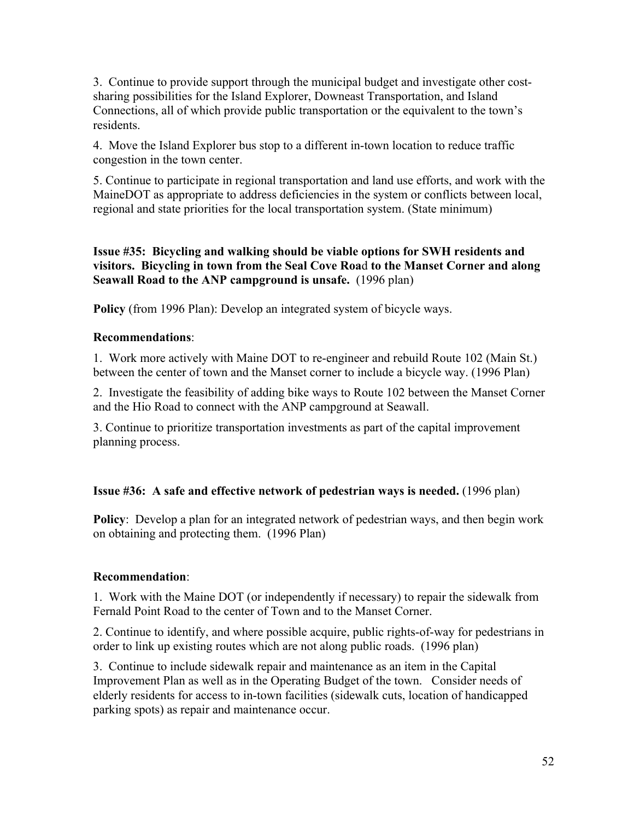3. Continue to provide support through the municipal budget and investigate other costsharing possibilities for the Island Explorer, Downeast Transportation, and Island Connections, all of which provide public transportation or the equivalent to the town's residents.

4. Move the Island Explorer bus stop to a different in-town location to reduce traffic congestion in the town center.

5. Continue to participate in regional transportation and land use efforts, and work with the MaineDOT as appropriate to address deficiencies in the system or conflicts between local, regional and state priorities for the local transportation system. (State minimum)

**Issue #35: Bicycling and walking should be viable options for SWH residents and visitors. Bicycling in town from the Seal Cove Roa**d **to the Manset Corner and along Seawall Road to the ANP campground is unsafe.** (1996 plan)

**Policy** (from 1996 Plan): Develop an integrated system of bicycle ways.

#### **Recommendations**:

1. Work more actively with Maine DOT to re-engineer and rebuild Route 102 (Main St.) between the center of town and the Manset corner to include a bicycle way. (1996 Plan)

2. Investigate the feasibility of adding bike ways to Route 102 between the Manset Corner and the Hio Road to connect with the ANP campground at Seawall.

3. Continue to prioritize transportation investments as part of the capital improvement planning process.

#### **Issue #36: A safe and effective network of pedestrian ways is needed.** (1996 plan)

**Policy**: Develop a plan for an integrated network of pedestrian ways, and then begin work on obtaining and protecting them. (1996 Plan)

## **Recommendation**:

1. Work with the Maine DOT (or independently if necessary) to repair the sidewalk from Fernald Point Road to the center of Town and to the Manset Corner.

2. Continue to identify, and where possible acquire, public rights-of-way for pedestrians in order to link up existing routes which are not along public roads. (1996 plan)

3. Continue to include sidewalk repair and maintenance as an item in the Capital Improvement Plan as well as in the Operating Budget of the town. Consider needs of elderly residents for access to in-town facilities (sidewalk cuts, location of handicapped parking spots) as repair and maintenance occur.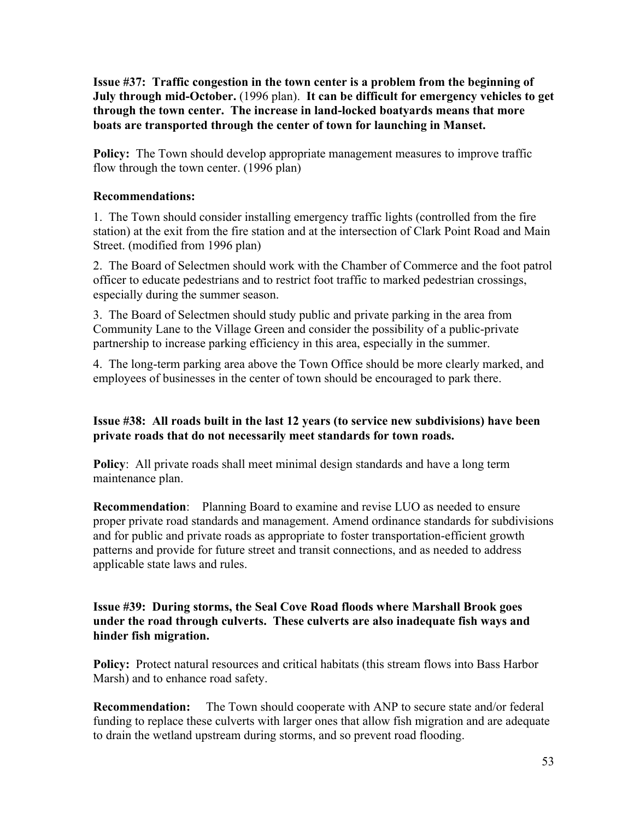**Issue #37: Traffic congestion in the town center is a problem from the beginning of July through mid-October.** (1996 plan). **It can be difficult for emergency vehicles to get through the town center. The increase in land-locked boatyards means that more boats are transported through the center of town for launching in Manset.**

**Policy:** The Town should develop appropriate management measures to improve traffic flow through the town center. (1996 plan)

#### **Recommendations:**

1. The Town should consider installing emergency traffic lights (controlled from the fire station) at the exit from the fire station and at the intersection of Clark Point Road and Main Street. (modified from 1996 plan)

2. The Board of Selectmen should work with the Chamber of Commerce and the foot patrol officer to educate pedestrians and to restrict foot traffic to marked pedestrian crossings, especially during the summer season.

3. The Board of Selectmen should study public and private parking in the area from Community Lane to the Village Green and consider the possibility of a public-private partnership to increase parking efficiency in this area, especially in the summer.

4. The long-term parking area above the Town Office should be more clearly marked, and employees of businesses in the center of town should be encouraged to park there.

#### **Issue #38: All roads built in the last 12 years (to service new subdivisions) have been private roads that do not necessarily meet standards for town roads.**

**Policy**: All private roads shall meet minimal design standards and have a long term maintenance plan.

**Recommendation**: Planning Board to examine and revise LUO as needed to ensure proper private road standards and management. Amend ordinance standards for subdivisions and for public and private roads as appropriate to foster transportation-efficient growth patterns and provide for future street and transit connections, and as needed to address applicable state laws and rules.

#### **Issue #39: During storms, the Seal Cove Road floods where Marshall Brook goes under the road through culverts. These culverts are also inadequate fish ways and hinder fish migration.**

**Policy:** Protect natural resources and critical habitats (this stream flows into Bass Harbor Marsh) and to enhance road safety.

**Recommendation:** The Town should cooperate with ANP to secure state and/or federal funding to replace these culverts with larger ones that allow fish migration and are adequate to drain the wetland upstream during storms, and so prevent road flooding.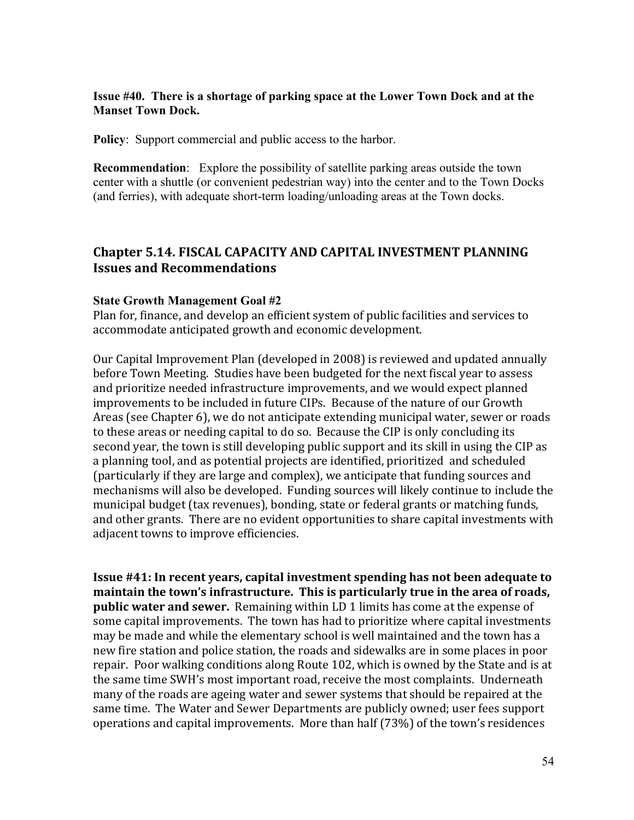#### **Issue #40. There is a shortage of parking space at the Lower Town Dock and at the Manset Town Dock.**

**Policy**: Support commercial and public access to the harbor.

**Recommendation**: Explore the possibility of satellite parking areas outside the town center with a shuttle (or convenient pedestrian way) into the center and to the Town Docks (and ferries), with adequate short-term loading/unloading areas at the Town docks.

## **Chapter 5.14. FISCAL CAPACITY AND CAPITAL INVESTMENT PLANNING Issues and Recommendations**

#### **State Growth Management Goal #2**

Plan for, finance, and develop an efficient system of public facilities and services to accommodate anticipated growth and economic development.

Our Capital Improvement Plan (developed in 2008) is reviewed and updated annually before Town Meeting. Studies have been budgeted for the next fiscal year to assess and prioritize needed infrastructure improvements, and we would expect planned improvements to be included in future CIPs. Because of the nature of our Growth Areas (see Chapter 6), we do not anticipate extending municipal water, sewer or roads to these areas or needing capital to do so. Because the CIP is only concluding its second year, the town is still developing public support and its skill in using the CIP as a planning tool, and as potential projects are identified, prioritized and scheduled (particularly if they are large and complex), we anticipate that funding sources and mechanisms will also be developed. Funding sources will likely continue to include the municipal budget (tax revenues), bonding, state or federal grants or matching funds, and other grants. There are no evident opportunities to share capital investments with adjacent towns to improve efficiencies.

**Issue #41: In recent years, capital investment spending has not been adequate to** maintain the town's infrastructure. This is particularly true in the area of roads, **public water and sewer.** Remaining within LD 1 limits has come at the expense of some capital improvements. The town has had to prioritize where capital investments may be made and while the elementary school is well maintained and the town has a new fire station and police station, the roads and sidewalks are in some places in poor repair. Poor walking conditions along Route 102, which is owned by the State and is at the same time SWH's most important road, receive the most complaints. Underneath many of the roads are ageing water and sewer systems that should be repaired at the same time. The Water and Sewer Departments are publicly owned; user fees support operations and capital improvements. More than half (73%) of the town's residences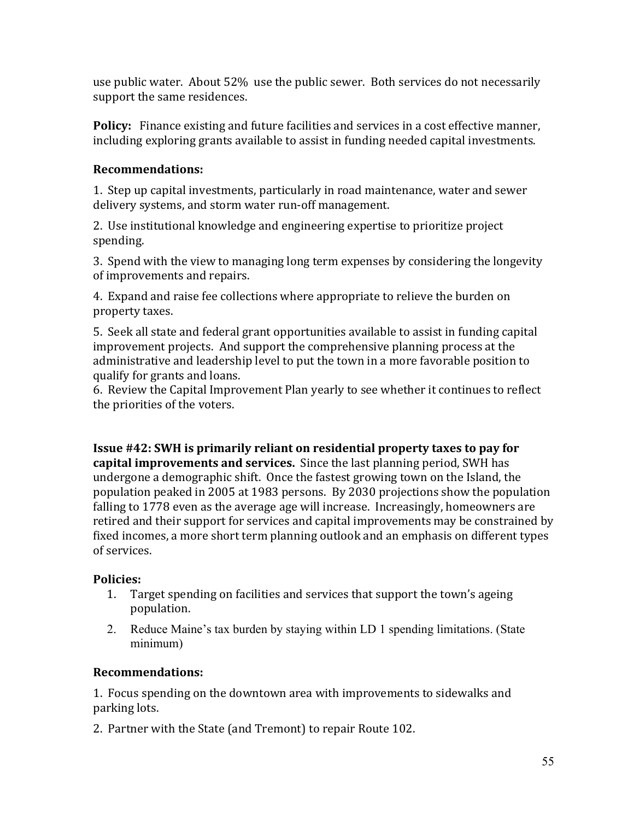use public water. About 52% use the public sewer. Both services do not necessarily support the same residences.

**Policy:** Finance existing and future facilities and services in a cost effective manner, including exploring grants available to assist in funding needed capital investments.

## **Recommendations:**

1. Step up capital investments, particularly in road maintenance, water and sewer delivery systems, and storm water run-off management.

2. Use institutional knowledge and engineering expertise to prioritize project spending.

3. Spend with the view to managing long term expenses by considering the longevity of improvements and repairs.

4. Expand and raise fee collections where appropriate to relieve the burden on property taxes.

5. Seek all state and federal grant opportunities available to assist in funding capital improvement projects. And support the comprehensive planning process at the administrative and leadership level to put the town in a more favorable position to qualify for grants and loans.

6. Review the Capital Improvement Plan yearly to see whether it continues to reflect the priorities of the voters.

**Issue #42: SWH is primarily reliant on residential property taxes to pay for capital improvements and services.** Since the last planning period, SWH has undergone a demographic shift. Once the fastest growing town on the Island, the population peaked in 2005 at 1983 persons. By 2030 projections show the population falling to 1778 even as the average age will increase. Increasingly, homeowners are retired and their support for services and capital improvements may be constrained by fixed incomes, a more short term planning outlook and an emphasis on different types of services.

## **Policies:**

- 1. Target spending on facilities and services that support the town's ageing population.
- 2. Reduce Maine's tax burden by staying within LD 1 spending limitations. (State minimum)

## **Recommendations:**

1. Focus spending on the downtown area with improvements to sidewalks and parking lots.

2. Partner with the State (and Tremont) to repair Route 102.